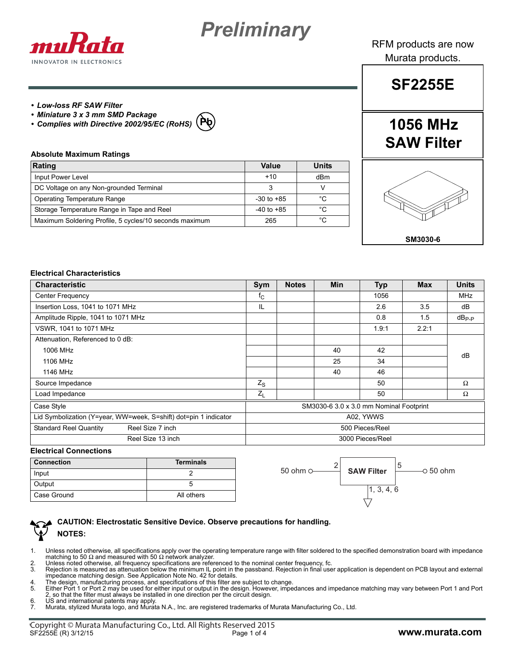



RFM products are now Murata products.

# **SF2255E**

**1056 MHz**

## *• Low-loss RF SAW Filter*

- *Miniature 3 x 3 mm SMD Package*
- *Complies with Directive 2002/95/EC (RoHS)* **Pb**

#### **Absolute Maximum Ratings**

| Rating                                                 | Value          | <b>Units</b> |
|--------------------------------------------------------|----------------|--------------|
| Input Power Level                                      | $+10$          | dBm          |
| DC Voltage on any Non-grounded Terminal                |                |              |
| <b>Operating Temperature Range</b>                     | $-30$ to $+85$ | °C           |
| Storage Temperature Range in Tape and Reel             | $-40$ to $+85$ | °C           |
| Maximum Soldering Profile, 5 cycles/10 seconds maximum | 265            | °C           |

# **SAW Filter**



### **Electrical Characteristics**

| <b>Characteristic</b>                                            | Sym                                     | <b>Notes</b> | <b>Min</b> | <b>Typ</b> | <b>Max</b> | <b>Units</b> |
|------------------------------------------------------------------|-----------------------------------------|--------------|------------|------------|------------|--------------|
| Center Frequency                                                 | $f_{\rm C}$                             |              |            | 1056       |            | <b>MHz</b>   |
| Insertion Loss, 1041 to 1071 MHz                                 | IL                                      |              |            | 2.6        | 3.5        | dB           |
| Amplitude Ripple, 1041 to 1071 MHz                               |                                         |              |            | 0.8        | 1.5        | $dB_{P-P}$   |
| VSWR, 1041 to 1071 MHz                                           |                                         |              |            | 1.9:1      | 2.2:1      |              |
| Attenuation, Referenced to 0 dB:                                 |                                         |              |            |            |            |              |
| 1006 MHz                                                         |                                         |              | 40         | 42         |            | dB           |
| 1106 MHz                                                         |                                         |              | 25         | 34         |            |              |
| 1146 MHz                                                         |                                         |              | 40         | 46         |            |              |
| Source Impedance                                                 | $Z_{\rm S}$                             |              |            | 50         |            | $\Omega$     |
| Load Impedance                                                   | $Z_L$                                   |              |            | 50         |            | Ω            |
| Case Style                                                       | SM3030-6 3.0 x 3.0 mm Nominal Footprint |              |            |            |            |              |
| Lid Symbolization (Y=year, WW=week, S=shift) dot=pin 1 indicator | A02, YWWS                               |              |            |            |            |              |
| <b>Standard Reel Quantity</b><br>Reel Size 7 inch                | 500 Pieces/Reel                         |              |            |            |            |              |
| Reel Size 13 inch                                                | 3000 Pieces/Reel                        |              |            |            |            |              |

### **Electrical Connections**

| <b>Connection</b> | <b>Terminals</b> |
|-------------------|------------------|
| Input             |                  |
| Output            |                  |
| Case Ground       | All others       |



# **CAUTION: Electrostatic Sensitive Device. Observe precautions for handling. NOTES:**

- 1. Unless noted otherwise, all specifications apply over the operating temperature range with filter soldered to the specified demonstration board with impedance matching to 50  $\Omega$  and measured with 50  $\Omega$  network analyzer.
- 
- 2. Unless noted otherwise, all frequency specifications are referenced to the nominal center frequency, fc.<br>3. Rejection is measured as attenuation below the minimum IL point in the passband. Rejection in final user applic
- 
- 2, so that the filter must always be installed in one direction per the circuit design.
- 6. US and international patents may apply.
- 7. Murata, stylized Murata logo, and Murata N.A., Inc. are registered trademarks of Murata Manufacturing Co., Ltd.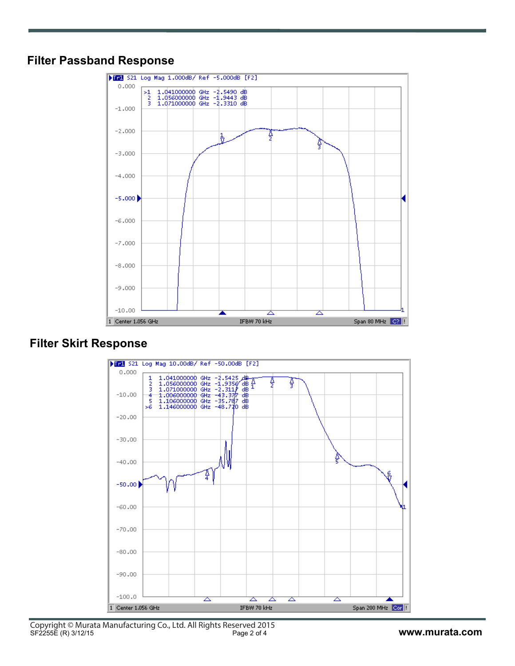# **Filter Passband Response**



# **Filter Skirt Response**

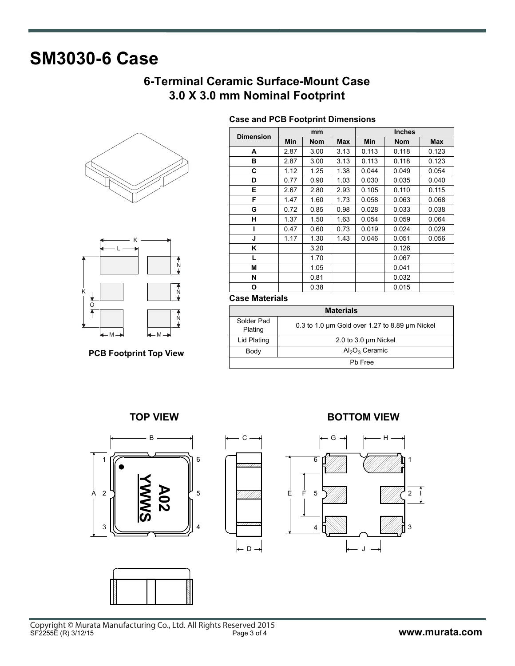# **SM3030-6 Case**

# **6-Terminal Ceramic Surface-Mount Case 3.0 X 3.0 mm Nominal Footprint**

**Case and PCB Footprint Dimensions**





**PCB Footprint Top View**

| <b>Dimension</b> |      | mm         |      |       | <b>Inches</b> |       |  |
|------------------|------|------------|------|-------|---------------|-------|--|
|                  | Min  | <b>Nom</b> | Max  | Min   | <b>Nom</b>    | Max   |  |
| А                | 2.87 | 3.00       | 3.13 | 0.113 | 0.118         | 0.123 |  |
| в                | 2.87 | 3.00       | 3.13 | 0.113 | 0.118         | 0.123 |  |
| С                | 1.12 | 1.25       | 1.38 | 0.044 | 0.049         | 0.054 |  |
| D                | 0.77 | 0.90       | 1.03 | 0.030 | 0.035         | 0.040 |  |
| Е                | 2.67 | 2.80       | 2.93 | 0.105 | 0.110         | 0.115 |  |
| F                | 1.47 | 1.60       | 1.73 | 0.058 | 0.063         | 0.068 |  |
| G                | 0.72 | 0.85       | 0.98 | 0.028 | 0.033         | 0.038 |  |
| н                | 1.37 | 1.50       | 1.63 | 0.054 | 0.059         | 0.064 |  |
| ı                | 0.47 | 0.60       | 0.73 | 0.019 | 0.024         | 0.029 |  |
| J                | 1.17 | 1.30       | 1.43 | 0.046 | 0.051         | 0.056 |  |
| Κ                |      | 3.20       |      |       | 0.126         |       |  |
| L                |      | 1.70       |      |       | 0.067         |       |  |
| М                |      | 1.05       |      |       | 0.041         |       |  |
| N                |      | 0.81       |      |       | 0.032         |       |  |
| О                |      | 0.38       |      |       | 0.015         |       |  |

## **Case Materials**

| <b>Materials</b>      |                                                          |  |  |  |
|-----------------------|----------------------------------------------------------|--|--|--|
| Solder Pad<br>Plating | 0.3 to 1.0 $\mu$ m Gold over 1.27 to 8.89 $\mu$ m Nickel |  |  |  |
| Lid Plating           | 2.0 to 3.0 um Nickel                                     |  |  |  |
| Body                  | $Al_2O_3$ Ceramic                                        |  |  |  |
| Ph Free               |                                                          |  |  |  |







# **TOP VIEW BOTTOM VIEW**

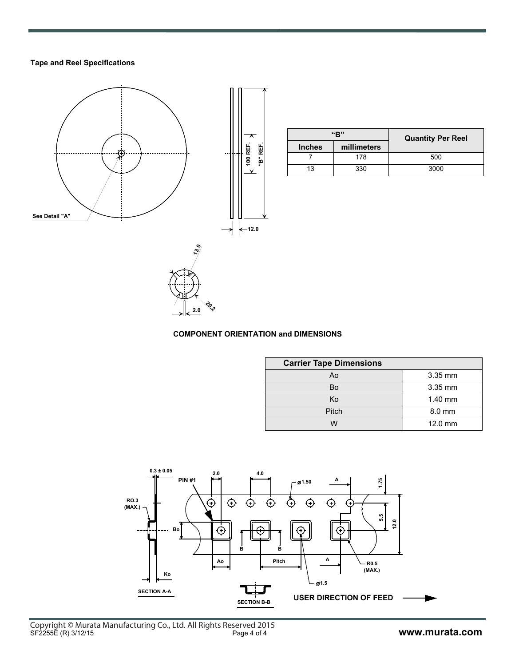# **Tape and Reel Specifications**



|               | "R"         | <b>Quantity Per Reel</b> |
|---------------|-------------|--------------------------|
| <b>Inches</b> | millimeters |                          |
|               | 178         | 500                      |
| 13            | 330         | 3000                     |



# **COMPONENT ORIENTATION and DIMENSIONS**

| <b>Carrier Tape Dimensions</b> |           |  |  |  |  |
|--------------------------------|-----------|--|--|--|--|
| Ao                             | 3.35 mm   |  |  |  |  |
| Bo                             | 3.35 mm   |  |  |  |  |
| Ko                             | $1.40$ mm |  |  |  |  |
| Pitch                          | 8.0 mm    |  |  |  |  |
| w                              | 12.0 mm   |  |  |  |  |